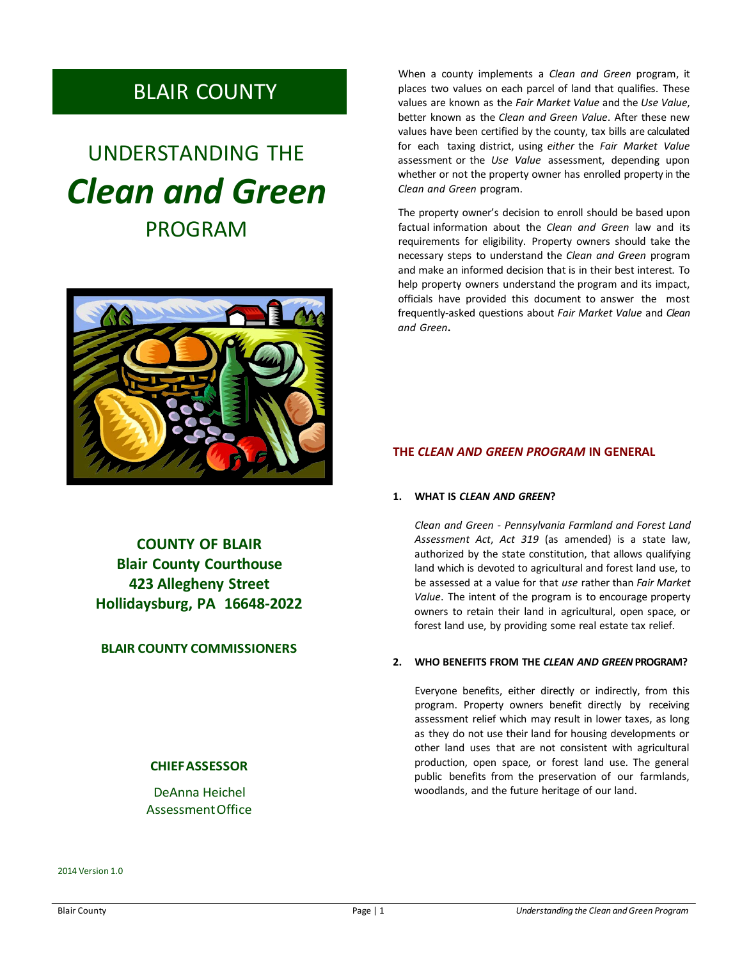# BLAIR COUNTY

# UNDERSTANDING THE *Clean and Green* PROGRAM



**COUNTY OF BLAIR Blair County Courthouse 423 Allegheny Street Hollidaysburg, PA 16648-2022**

# **BLAIR COUNTY COMMISSIONERS**

# **CHIEFASSESSOR**

DeAnna Heichel AssessmentOffice

2014 Version 1.0

When a county implements a *Clean and Green* program, it places two values on each parcel of land that qualifies. These values are known as the *Fair Market Value* and the *Use Value*, better known as the *Clean and Green Value*. After these new values have been certified by the county, tax bills are calculated for each taxing district, using *either* the *Fair Market Value* assessment or the *Use Value* assessment, depending upon whether or not the property owner has enrolled property in the *Clean and Green* program.

The property owner's decision to enroll should be based upon factual information about the *Clean and Green* law and its requirements for eligibility. Property owners should take the necessary steps to understand the *Clean and Green* program and make an informed decision that is in their best interest. To help property owners understand the program and its impact, officials have provided this document to answer the most frequently-asked questions about *Fair Market Value* and *Clean and Green***.**

## **THE** *CLEAN AND GREEN PROGRAM* **IN GENERAL**

#### **1. WHAT IS** *CLEAN AND GREEN***?**

*Clean and Green - Pennsylvania Farmland and Forest Land Assessment Act*, *Act 319* (as amended) is a state law, authorized by the state constitution, that allows qualifying land which is devoted to agricultural and forest land use, to be assessed at a value for that *use* rather than *Fair Market Value*. The intent of the program is to encourage property owners to retain their land in agricultural, open space, or forest land use, by providing some real estate tax relief.

#### **2. WHO BENEFITS FROM THE** *CLEAN AND GREEN* **PROGRAM?**

Everyone benefits, either directly or indirectly, from this program. Property owners benefit directly by receiving assessment relief which may result in lower taxes, as long as they do not use their land for housing developments or other land uses that are not consistent with agricultural production, open space, or forest land use. The general public benefits from the preservation of our farmlands, woodlands, and the future heritage of our land.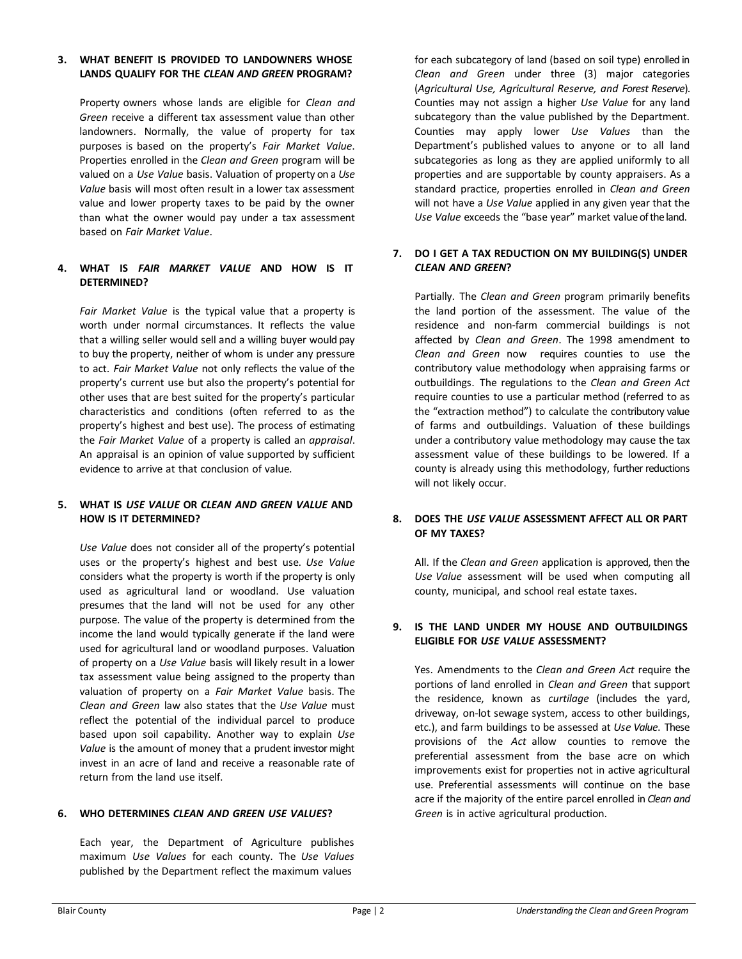#### **3. WHAT BENEFIT IS PROVIDED TO LANDOWNERS WHOSE LANDS QUALIFY FOR THE** *CLEAN AND GREEN* **PROGRAM?**

Property owners whose lands are eligible for *Clean and Green* receive a different tax assessment value than other landowners. Normally, the value of property for tax purposes is based on the property's *Fair Market Value*. Properties enrolled in the *Clean and Green* program will be valued on a *Use Value* basis. Valuation of property on a *Use Value* basis will most often result in a lower tax assessment value and lower property taxes to be paid by the owner than what the owner would pay under a tax assessment based on *Fair Market Value*.

#### **4. WHAT IS** *FAIR MARKET VALUE* **AND HOW IS IT DETERMINED?**

*Fair Market Value* is the typical value that a property is worth under normal circumstances. It reflects the value that a willing seller would sell and a willing buyer would pay to buy the property, neither of whom is under any pressure to act. *Fair Market Value* not only reflects the value of the property's current use but also the property's potential for other uses that are best suited for the property's particular characteristics and conditions (often referred to as the property's highest and best use). The process of estimating the *Fair Market Value* of a property is called an *appraisal*. An appraisal is an opinion of value supported by sufficient evidence to arrive at that conclusion of value.

#### **5. WHAT IS** *USE VALUE* **OR** *CLEAN AND GREEN VALUE* **AND HOW IS IT DETERMINED?**

*Use Value* does not consider all of the property's potential uses or the property's highest and best use. *Use Value* considers what the property is worth if the property is only used as agricultural land or woodland. Use valuation presumes that the land will not be used for any other purpose. The value of the property is determined from the income the land would typically generate if the land were used for agricultural land or woodland purposes. Valuation of property on a *Use Value* basis will likely result in a lower tax assessment value being assigned to the property than valuation of property on a *Fair Market Value* basis. The *Clean and Green* law also states that the *Use Value* must reflect the potential of the individual parcel to produce based upon soil capability. Another way to explain *Use Value* is the amount of money that a prudent investormight invest in an acre of land and receive a reasonable rate of return from the land use itself.

# **6. WHO DETERMINES** *CLEAN AND GREEN USE VALUES***?**

Each year, the Department of Agriculture publishes maximum *Use Values* for each county. The *Use Values* published by the Department reflect the maximum values

for each subcategory of land (based on soil type) enrolled in *Clean and Green* under three (3) major categories (*Agricultural Use, Agricultural Reserve, and Forest Reserve*). Counties may not assign a higher *Use Value* for any land subcategory than the value published by the Department. Counties may apply lower *Use Values* than the Department's published values to anyone or to all land subcategories as long as they are applied uniformly to all properties and are supportable by county appraisers. As a standard practice, properties enrolled in *Clean and Green* will not have a *Use Value* applied in any given year that the *Use Value* exceeds the "base year" market value of the land.

#### **7. DO I GET A TAX REDUCTION ON MY BUILDING(S) UNDER** *CLEAN AND GREEN***?**

Partially. The *Clean and Green* program primarily benefits the land portion of the assessment. The value of the residence and non-farm commercial buildings is not affected by *Clean and Green*. The 1998 amendment to *Clean and Green* now requires counties to use the contributory value methodology when appraising farms or outbuildings. The regulations to the *Clean and Green Act* require counties to use a particular method (referred to as the "extraction method") to calculate the contributory value of farms and outbuildings. Valuation of these buildings under a contributory value methodology may cause the tax assessment value of these buildings to be lowered. If a county is already using this methodology, further reductions will not likely occur.

#### **8. DOES THE** *USE VALUE* **ASSESSMENT AFFECT ALL OR PART OF MY TAXES?**

All. If the *Clean and Green* application is approved, then the *Use Value* assessment will be used when computing all county, municipal, and school real estate taxes.

#### **9. IS THE LAND UNDER MY HOUSE AND OUTBUILDINGS ELIGIBLE FOR** *USE VALUE* **ASSESSMENT?**

Yes. Amendments to the *Clean and Green Act* require the portions of land enrolled in *Clean and Green* that support the residence, known as *curtilage* (includes the yard, driveway, on-lot sewage system, access to other buildings, etc.), and farm buildings to be assessed at *Use Value*. These provisions of the *Act* allow counties to remove the preferential assessment from the base acre on which improvements exist for properties not in active agricultural use. Preferential assessments will continue on the base acre if the majority of the entire parcel enrolled in *Clean and Green* is in active agricultural production.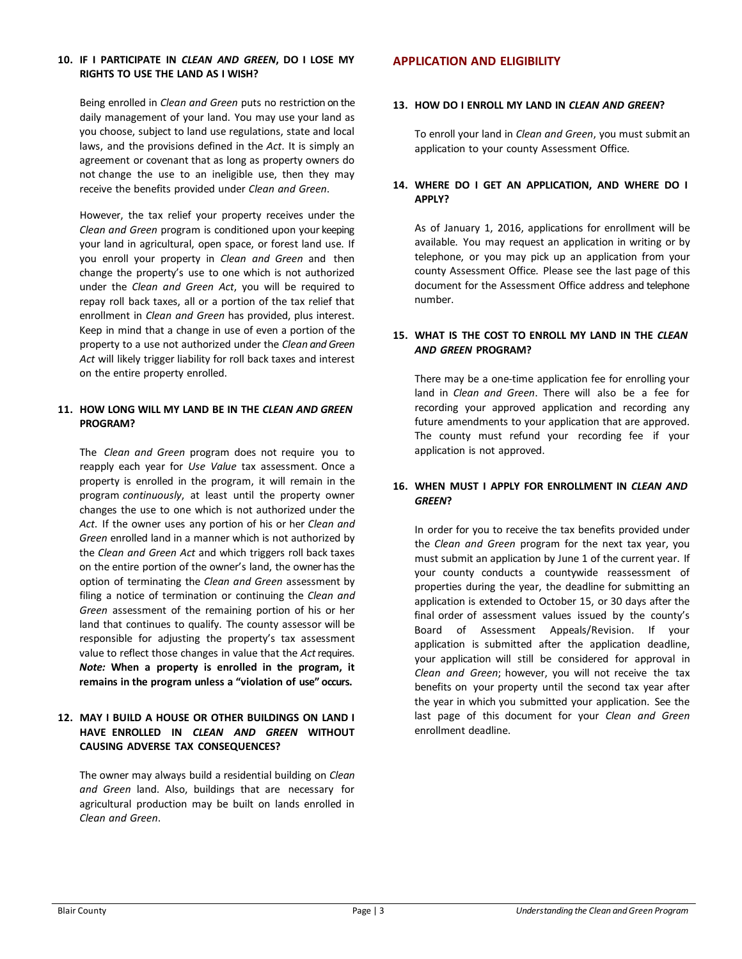#### **10. IF I PARTICIPATE IN** *CLEAN AND GREEN***, DO I LOSE MY RIGHTS TO USE THE LAND AS I WISH?**

Being enrolled in *Clean and Green* puts no restriction on the daily management of your land. You may use your land as you choose, subject to land use regulations, state and local laws, and the provisions defined in the *Act*. It is simply an agreement or covenant that as long as property owners do not change the use to an ineligible use, then they may receive the benefits provided under *Clean and Green*.

However, the tax relief your property receives under the *Clean and Green* program is conditioned upon your keeping your land in agricultural, open space, or forest land use. If you enroll your property in *Clean and Green* and then change the property's use to one which is not authorized under the *Clean and Green Act*, you will be required to repay roll back taxes, all or a portion of the tax relief that enrollment in *Clean and Green* has provided, plus interest. Keep in mind that a change in use of even a portion of the property to a use not authorized under the *Clean and Green Act* will likely trigger liability for roll back taxes and interest on the entire property enrolled.

#### **11. HOW LONG WILL MY LAND BE IN THE** *CLEAN AND GREEN* **PROGRAM?**

The *Clean and Green* program does not require you to reapply each year for *Use Value* tax assessment. Once a property is enrolled in the program, it will remain in the program *continuously*, at least until the property owner changes the use to one which is not authorized under the *Act*. If the owner uses any portion of his or her *Clean and Green* enrolled land in a manner which is not authorized by the *Clean and Green Act* and which triggers roll back taxes on the entire portion of the owner's land, the owner hasthe option of terminating the *Clean and Green* assessment by filing a notice of termination or continuing the *Clean and Green* assessment of the remaining portion of his or her land that continues to qualify. The county assessor will be responsible for adjusting the property's tax assessment value to reflect those changes in value that the *Act*requires. *Note:* **When a property is enrolled in the program, it remains in the program unless a "violation of use" occurs.**

#### **12. MAY I BUILD A HOUSE OR OTHER BUILDINGS ON LAND I HAVE ENROLLED IN** *CLEAN AND GREEN* **WITHOUT CAUSING ADVERSE TAX CONSEQUENCES?**

The owner may always build a residential building on *Clean and Green* land. Also, buildings that are necessary for agricultural production may be built on lands enrolled in *Clean and Green*.

#### **APPLICATION AND ELIGIBILITY**

#### **13. HOW DO I ENROLL MY LAND IN** *CLEAN AND GREEN***?**

To enroll your land in *Clean and Green*, you must submit an application to your county Assessment Office.

#### **14. WHERE DO I GET AN APPLICATION, AND WHERE DO I APPLY?**

As of January 1, 2016, applications for enrollment will be available. You may request an application in writing or by telephone, or you may pick up an application from your county Assessment Office. Please see the last page of this document for the Assessment Office address and telephone number.

#### **15. WHAT IS THE COST TO ENROLL MY LAND IN THE** *CLEAN AND GREEN* **PROGRAM?**

There may be a one-time application fee for enrolling your land in *Clean and Green*. There will also be a fee for recording your approved application and recording any future amendments to your application that are approved. The county must refund your recording fee if your application is not approved.

#### **16. WHEN MUST I APPLY FOR ENROLLMENT IN** *CLEAN AND GREEN***?**

In order for you to receive the tax benefits provided under the *Clean and Green* program for the next tax year, you must submit an application by June 1 of the current year. If your county conducts a countywide reassessment of properties during the year, the deadline for submitting an application is extended to October 15, or 30 days after the final order of assessment values issued by the county's Board of Assessment Appeals/Revision. If your application is submitted after the application deadline, your application will still be considered for approval in *Clean and Green*; however, you will not receive the tax benefits on your property until the second tax year after the year in which you submitted your application. See the last page of this document for your *Clean and Green* enrollment deadline.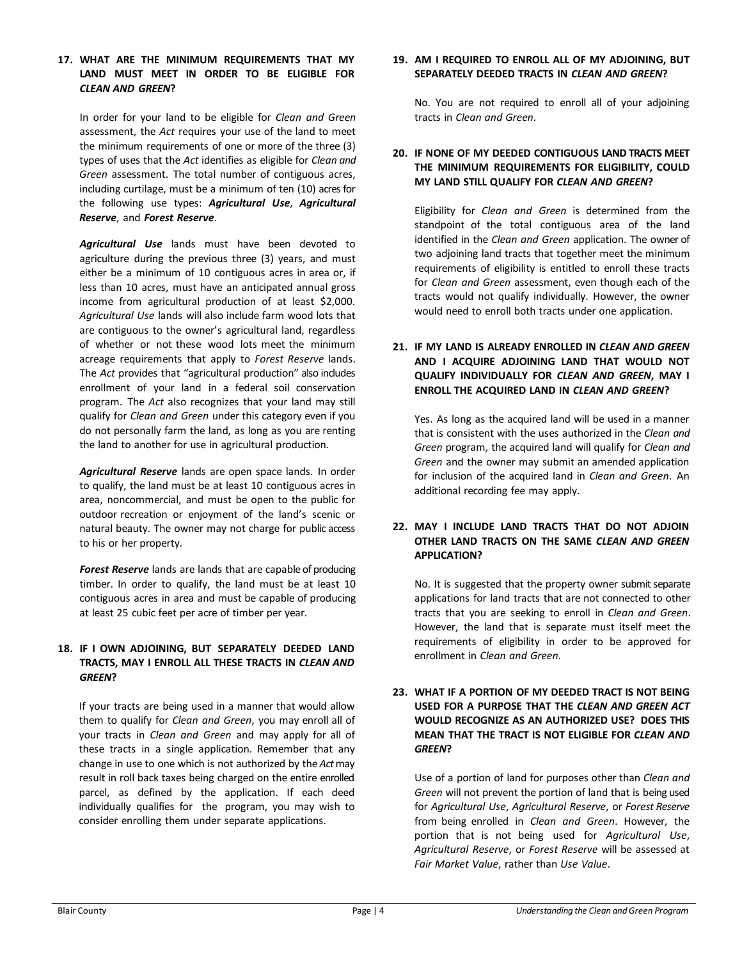#### **17. WHAT ARE THE MINIMUM REQUIREMENTS THAT MY LAND MUST MEET IN ORDER TO BE ELIGIBLE FOR** *CLEAN AND GREEN***?**

In order for your land to be eligible for *Clean and Green* assessment, the *Act* requires your use of the land to meet the minimum requirements of one or more of the three (3) types of uses that the *Act* identifies as eligible for *Clean and Green* assessment. The total number of contiguous acres, including curtilage, must be a minimum of ten (10) acres for the following use types: *Agricultural Use*, *Agricultural Reserve*, and *Forest Reserve*.

*Agricultural Use* lands must have been devoted to agriculture during the previous three (3) years, and must either be a minimum of 10 contiguous acres in area or, if less than 10 acres, must have an anticipated annual gross income from agricultural production of at least \$2,000. *Agricultural Use* lands will also include farm wood lots that are contiguous to the owner's agricultural land, regardless of whether or not these wood lots meet the minimum acreage requirements that apply to *Forest Reserve* lands. The *Act* provides that "agricultural production" also includes enrollment of your land in a federal soil conservation program. The *Act* also recognizes that your land may still qualify for *Clean and Green* under this category even if you do not personally farm the land, as long as you are renting the land to another for use in agricultural production.

*Agricultural Reserve* lands are open space lands. In order to qualify, the land must be at least 10 contiguous acres in area, noncommercial, and must be open to the public for outdoor recreation or enjoyment of the land's scenic or natural beauty. The owner may not charge for public access to his or her property.

*Forest Reserve* lands are lands that are capable of producing timber. In order to qualify, the land must be at least 10 contiguous acres in area and must be capable of producing at least 25 cubic feet per acre of timber per year.

#### **18. IF I OWN ADJOINING, BUT SEPARATELY DEEDED LAND TRACTS, MAY I ENROLL ALL THESE TRACTS IN** *CLEAN AND GREEN***?**

If your tracts are being used in a manner that would allow them to qualify for *Clean and Green*, you may enroll all of your tracts in *Clean and Green* and may apply for all of these tracts in a single application. Remember that any change in use to one which is not authorized by the *Act*may result in roll back taxes being charged on the entire enrolled parcel, as defined by the application. If each deed individually qualifies for the program, you may wish to consider enrolling them under separate applications.

#### **19. AM I REQUIRED TO ENROLL ALL OF MY ADJOINING, BUT SEPARATELY DEEDED TRACTS IN** *CLEAN AND GREEN***?**

No. You are not required to enroll all of your adjoining tracts in *Clean and Green*.

#### **20. IF NONE OF MY DEEDED CONTIGUOUS LAND TRACTS MEET THE MINIMUM REQUIREMENTS FOR ELIGIBILITY, COULD MY LAND STILL QUALIFY FOR** *CLEAN AND GREEN***?**

Eligibility for *Clean and Green* is determined from the standpoint of the total contiguous area of the land identified in the *Clean and Green* application. The owner of two adjoining land tracts that together meet the minimum requirements of eligibility is entitled to enroll these tracts for *Clean and Green* assessment, even though each of the tracts would not qualify individually. However, the owner would need to enroll both tracts under one application.

# **21. IF MY LAND IS ALREADY ENROLLED IN** *CLEAN AND GREEN* **AND I ACQUIRE ADJOINING LAND THAT WOULD NOT QUALIFY INDIVIDUALLY FOR** *CLEAN AND GREEN***, MAY I ENROLL THE ACQUIRED LAND IN** *CLEAN AND GREEN***?**

Yes. As long as the acquired land will be used in a manner that is consistent with the uses authorized in the *Clean and Green* program, the acquired land will qualify for *Clean and Green* and the owner may submit an amended application for inclusion of the acquired land in *Clean and Green*. An additional recording fee may apply.

#### **22. MAY I INCLUDE LAND TRACTS THAT DO NOT ADJOIN OTHER LAND TRACTS ON THE SAME** *CLEAN AND GREEN* **APPLICATION?**

No. It is suggested that the property owner submit separate applications for land tracts that are not connected to other tracts that you are seeking to enroll in *Clean and Green*. However, the land that is separate must itself meet the requirements of eligibility in order to be approved for enrollment in *Clean and Green*.

#### **23. WHAT IF A PORTION OF MY DEEDED TRACT IS NOT BEING USED FOR A PURPOSE THAT THE** *CLEAN AND GREEN ACT* **WOULD RECOGNIZE AS AN AUTHORIZED USE? DOES THIS MEAN THAT THE TRACT IS NOT ELIGIBLE FOR** *CLEAN AND GREEN***?**

Use of a portion of land for purposes other than *Clean and Green* will not prevent the portion of land that is being used for *Agricultural Use*, *Agricultural Reserve*, or *Forest Reserve* from being enrolled in *Clean and Green*. However, the portion that is not being used for *Agricultural Use*, *Agricultural Reserve*, or *Forest Reserve* will be assessed at *Fair Market Value*, rather than *Use Value*.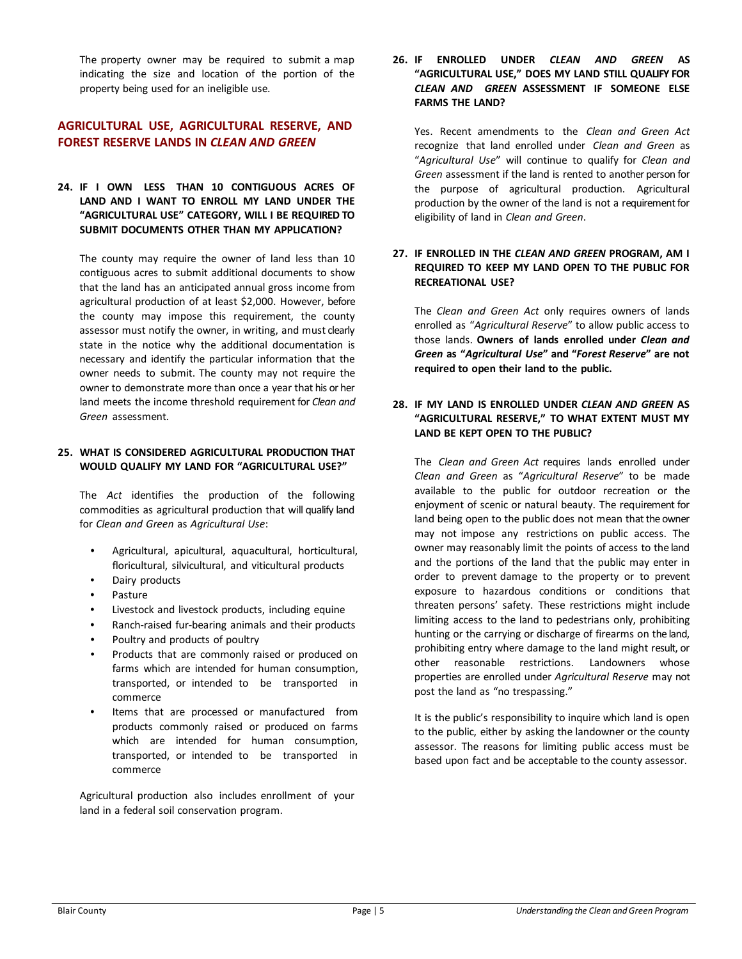The property owner may be required to submit a map indicating the size and location of the portion of the property being used for an ineligible use.

## **AGRICULTURAL USE, AGRICULTURAL RESERVE, AND FOREST RESERVE LANDS IN** *CLEAN AND GREEN*

#### **24. IF I OWN LESS THAN 10 CONTIGUOUS ACRES OF LAND AND I WANT TO ENROLL MY LAND UNDER THE "AGRICULTURAL USE" CATEGORY, WILL I BE REQUIRED TO SUBMIT DOCUMENTS OTHER THAN MY APPLICATION?**

The county may require the owner of land less than 10 contiguous acres to submit additional documents to show that the land has an anticipated annual gross income from agricultural production of at least \$2,000. However, before the county may impose this requirement, the county assessor must notify the owner, in writing, and must clearly state in the notice why the additional documentation is necessary and identify the particular information that the owner needs to submit. The county may not require the owner to demonstrate more than once a year that his or her land meets the income threshold requirement for *Clean and Green* assessment.

#### **25. WHAT IS CONSIDERED AGRICULTURAL PRODUCTION THAT WOULD QUALIFY MY LAND FOR "AGRICULTURAL USE?"**

The *Act* identifies the production of the following commodities as agricultural production that will qualify land for *Clean and Green* as *Agricultural Use*:

- Agricultural, apicultural, aquacultural, horticultural, floricultural, silvicultural, and viticultural products
- Dairy products
- Pasture
- Livestock and livestock products, including equine
- Ranch-raised fur-bearing animals and their products
- Poultry and products of poultry
- Products that are commonly raised or produced on farms which are intended for human consumption, transported, or intended to be transported in commerce
- Items that are processed or manufactured from products commonly raised or produced on farms which are intended for human consumption, transported, or intended to be transported in commerce

Agricultural production also includes enrollment of your land in a federal soil conservation program.

**26. IF ENROLLED UNDER** *CLEAN AND GREEN* **AS "AGRICULTURAL USE," DOES MY LAND STILL QUALIFY FOR** *CLEAN AND GREEN* **ASSESSMENT IF SOMEONE ELSE FARMS THE LAND?**

Yes. Recent amendments to the *Clean and Green Act* recognize that land enrolled under *Clean and Green* as "*Agricultural Use*" will continue to qualify for *Clean and Green* assessment if the land is rented to another person for the purpose of agricultural production. Agricultural production by the owner of the land is not a requirement for eligibility of land in *Clean and Green*.

#### **27. IF ENROLLED IN THE** *CLEAN AND GREEN* **PROGRAM, AM I REQUIRED TO KEEP MY LAND OPEN TO THE PUBLIC FOR RECREATIONAL USE?**

The *Clean and Green Act* only requires owners of lands enrolled as "*Agricultural Reserve*" to allow public access to those lands. **Owners of lands enrolled under** *Clean and Green* **as "***Agricultural Use***" and "***Forest Reserve***" are not required to open their land to the public.**

#### **28. IF MY LAND IS ENROLLED UNDER** *CLEAN AND GREEN* **AS "AGRICULTURAL RESERVE," TO WHAT EXTENT MUST MY LAND BE KEPT OPEN TO THE PUBLIC?**

The *Clean and Green Act* requires lands enrolled under *Clean and Green* as "*Agricultural Reserve*" to be made available to the public for outdoor recreation or the enjoyment of scenic or natural beauty. The requirement for land being open to the public does not mean that the owner may not impose any restrictions on public access. The owner may reasonably limit the points of access to the land and the portions of the land that the public may enter in order to prevent damage to the property or to prevent exposure to hazardous conditions or conditions that threaten persons' safety. These restrictions might include limiting access to the land to pedestrians only, prohibiting hunting or the carrying or discharge of firearms on the land, prohibiting entry where damage to the land might result, or other reasonable restrictions. Landowners whose properties are enrolled under *Agricultural Reserve* may not post the land as "no trespassing."

It is the public's responsibility to inquire which land is open to the public, either by asking the landowner or the county assessor. The reasons for limiting public access must be based upon fact and be acceptable to the county assessor.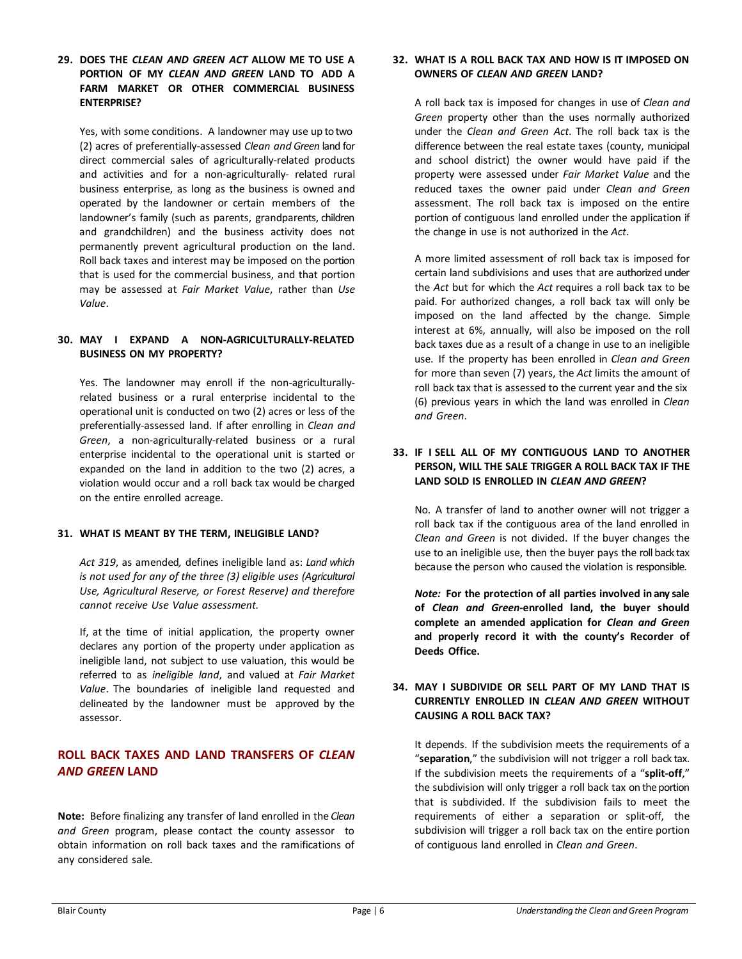**29. DOES THE** *CLEAN AND GREEN ACT* **ALLOW ME TO USE A PORTION OF MY** *CLEAN AND GREEN* **LAND TO ADD A FARM MARKET OR OTHER COMMERCIAL BUSINESS ENTERPRISE?**

Yes, with some conditions. A landowner may use up to two (2) acres of preferentially-assessed *Clean and Green* land for direct commercial sales of agriculturally-related products and activities and for a non-agriculturally- related rural business enterprise, as long as the business is owned and operated by the landowner or certain members of the landowner's family (such as parents, grandparents, children and grandchildren) and the business activity does not permanently prevent agricultural production on the land. Roll back taxes and interest may be imposed on the portion that is used for the commercial business, and that portion may be assessed at *Fair Market Value*, rather than *Use Value*.

#### **30. MAY I EXPAND A NON-AGRICULTURALLY-RELATED BUSINESS ON MY PROPERTY?**

Yes. The landowner may enroll if the non-agriculturallyrelated business or a rural enterprise incidental to the operational unit is conducted on two (2) acres or less of the preferentially-assessed land. If after enrolling in *Clean and Green*, a non-agriculturally-related business or a rural enterprise incidental to the operational unit is started or expanded on the land in addition to the two (2) acres, a violation would occur and a roll back tax would be charged on the entire enrolled acreage.

#### **31. WHAT IS MEANT BY THE TERM, INELIGIBLE LAND?**

*Act 319*, as amended*,* defines ineligible land as: *Land which is not used for any of the three (3) eligible uses (Agricultural Use, Agricultural Reserve, or Forest Reserve) and therefore cannot receive Use Value assessment.*

If, at the time of initial application, the property owner declares any portion of the property under application as ineligible land, not subject to use valuation, this would be referred to as *ineligible land*, and valued at *Fair Market Value*. The boundaries of ineligible land requested and delineated by the landowner must be approved by the assessor.

# **ROLL BACK TAXES AND LAND TRANSFERS OF** *CLEAN AND GREEN* **LAND**

**Note:** Before finalizing any transfer of land enrolled in the *Clean and Green* program, please contact the county assessor to obtain information on roll back taxes and the ramifications of any considered sale.

#### **32. WHAT IS A ROLL BACK TAX AND HOW IS IT IMPOSED ON OWNERS OF** *CLEAN AND GREEN* **LAND?**

A roll back tax is imposed for changes in use of *Clean and Green* property other than the uses normally authorized under the *Clean and Green Act*. The roll back tax is the difference between the real estate taxes (county, municipal and school district) the owner would have paid if the property were assessed under *Fair Market Value* and the reduced taxes the owner paid under *Clean and Green* assessment. The roll back tax is imposed on the entire portion of contiguous land enrolled under the application if the change in use is not authorized in the *Act*.

A more limited assessment of roll back tax is imposed for certain land subdivisions and uses that are authorized under the *Act* but for which the *Act* requires a roll back tax to be paid. For authorized changes, a roll back tax will only be imposed on the land affected by the change. Simple interest at 6%, annually, will also be imposed on the roll back taxes due as a result of a change in use to an ineligible use. If the property has been enrolled in *Clean and Green* for more than seven (7) years, the *Act* limits the amount of roll back tax that is assessed to the current year and the six (6) previous years in which the land was enrolled in *Clean and Green*.

#### **33. IF I SELL ALL OF MY CONTIGUOUS LAND TO ANOTHER PERSON, WILL THE SALE TRIGGER A ROLL BACK TAX IF THE LAND SOLD IS ENROLLED IN** *CLEAN AND GREEN***?**

No. A transfer of land to another owner will not trigger a roll back tax if the contiguous area of the land enrolled in *Clean and Green* is not divided. If the buyer changes the use to an ineligible use, then the buyer pays the roll back tax because the person who caused the violation is responsible.

*Note:* **For the protection of all parties involved in any sale of** *Clean and Green***-enrolled land, the buyer should complete an amended application for** *Clean and Green* **and properly record it with the county's Recorder of Deeds Office.**

#### **34. MAY I SUBDIVIDE OR SELL PART OF MY LAND THAT IS CURRENTLY ENROLLED IN** *CLEAN AND GREEN* **WITHOUT CAUSING A ROLL BACK TAX?**

It depends. If the subdivision meets the requirements of a "**separation**," the subdivision will not trigger a roll back tax. If the subdivision meets the requirements of a "**split-off**," the subdivision will only trigger a roll back tax on the portion that is subdivided. If the subdivision fails to meet the requirements of either a separation or split-off, the subdivision will trigger a roll back tax on the entire portion of contiguous land enrolled in *Clean and Green*.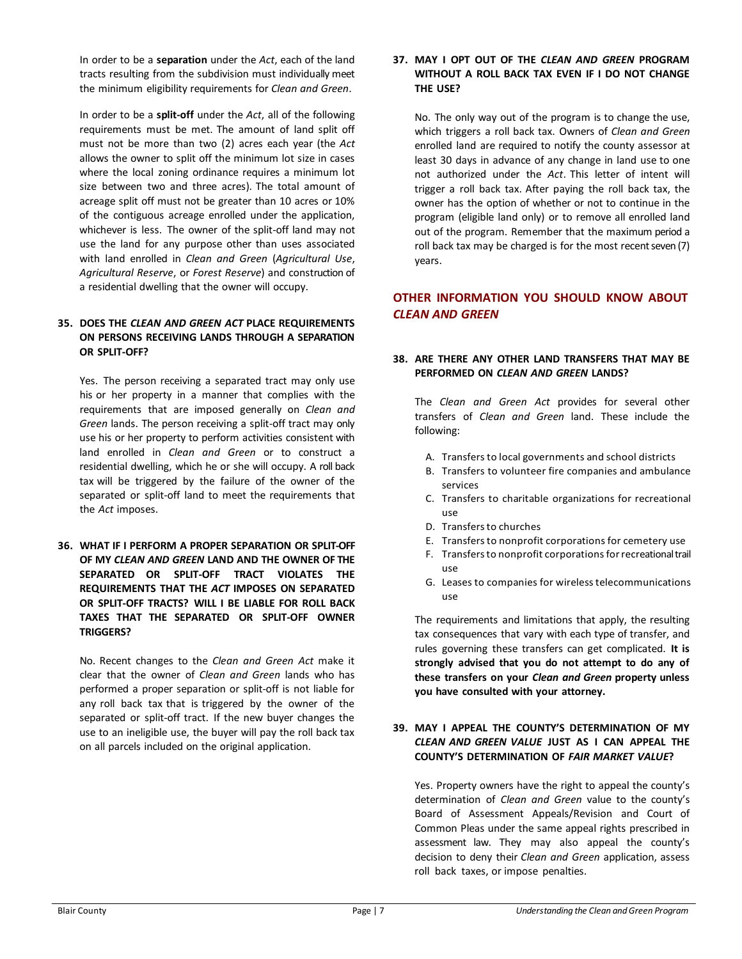In order to be a **separation** under the *Act*, each of the land tracts resulting from the subdivision must individually meet the minimum eligibility requirements for *Clean and Green*.

In order to be a **split-off** under the *Act*, all of the following requirements must be met. The amount of land split off must not be more than two (2) acres each year (the *Act* allows the owner to split off the minimum lot size in cases where the local zoning ordinance requires a minimum lot size between two and three acres). The total amount of acreage split off must not be greater than 10 acres or 10% of the contiguous acreage enrolled under the application, whichever is less. The owner of the split-off land may not use the land for any purpose other than uses associated with land enrolled in *Clean and Green* (*Agricultural Use*, *Agricultural Reserve*, or *Forest Reserve*) and construction of a residential dwelling that the owner will occupy.

### **35. DOES THE** *CLEAN AND GREEN ACT* **PLACE REQUIREMENTS ON PERSONS RECEIVING LANDS THROUGH A SEPARATION OR SPLIT-OFF?**

Yes. The person receiving a separated tract may only use his or her property in a manner that complies with the requirements that are imposed generally on *Clean and Green* lands. The person receiving a split-off tract may only use his or her property to perform activities consistent with land enrolled in *Clean and Green* or to construct a residential dwelling, which he or she will occupy. A roll back tax will be triggered by the failure of the owner of the separated or split-off land to meet the requirements that the *Act* imposes.

**36. WHAT IF I PERFORM A PROPER SEPARATION OR SPLIT-OFF OF MY** *CLEAN AND GREEN* **LAND AND THE OWNER OF THE SEPARATED OR SPLIT-OFF TRACT VIOLATES THE REQUIREMENTS THAT THE** *ACT* **IMPOSES ON SEPARATED OR SPLIT-OFF TRACTS? WILL I BE LIABLE FOR ROLL BACK TAXES THAT THE SEPARATED OR SPLIT-OFF OWNER TRIGGERS?**

No. Recent changes to the *Clean and Green Act* make it clear that the owner of *Clean and Green* lands who has performed a proper separation or split-off is not liable for any roll back tax that is triggered by the owner of the separated or split-off tract. If the new buyer changes the use to an ineligible use, the buyer will pay the roll back tax on all parcels included on the original application.

#### **37. MAY I OPT OUT OF THE** *CLEAN AND GREEN* **PROGRAM WITHOUT A ROLL BACK TAX EVEN IF I DO NOT CHANGE THE USE?**

No. The only way out of the program is to change the use, which triggers a roll back tax. Owners of *Clean and Green* enrolled land are required to notify the county assessor at least 30 days in advance of any change in land use to one not authorized under the *Act*. This letter of intent will trigger a roll back tax. After paying the roll back tax, the owner has the option of whether or not to continue in the program (eligible land only) or to remove all enrolled land out of the program. Remember that the maximum period a roll back tax may be charged is for the most recent seven (7) years.

# **OTHER INFORMATION YOU SHOULD KNOW ABOUT** *CLEAN AND GREEN*

#### **38. ARE THERE ANY OTHER LAND TRANSFERS THAT MAY BE PERFORMED ON** *CLEAN AND GREEN* **LANDS?**

The *Clean and Green Act* provides for several other transfers of *Clean and Green* land. These include the following:

- A. Transfers to local governments and school districts
- B. Transfers to volunteer fire companies and ambulance services
- C. Transfers to charitable organizations for recreational use
- D. Transfers to churches
- E. Transfers to nonprofit corporations for cemetery use
- F. Transfers to nonprofit corporations for recreational trail use
- G. Leases to companies for wirelesstelecommunications use

The requirements and limitations that apply, the resulting tax consequences that vary with each type of transfer, and rules governing these transfers can get complicated. **It is strongly advised that you do not attempt to do any of these transfers on your** *Clean and Green* **property unless you have consulted with your attorney.**

#### **39. MAY I APPEAL THE COUNTY'S DETERMINATION OF MY** *CLEAN AND GREEN VALUE* **JUST AS I CAN APPEAL THE COUNTY'S DETERMINATION OF** *FAIR MARKET VALUE***?**

Yes. Property owners have the right to appeal the county's determination of *Clean and Green* value to the county's Board of Assessment Appeals/Revision and Court of Common Pleas under the same appeal rights prescribed in assessment law. They may also appeal the county's decision to deny their *Clean and Green* application, assess roll back taxes, or impose penalties.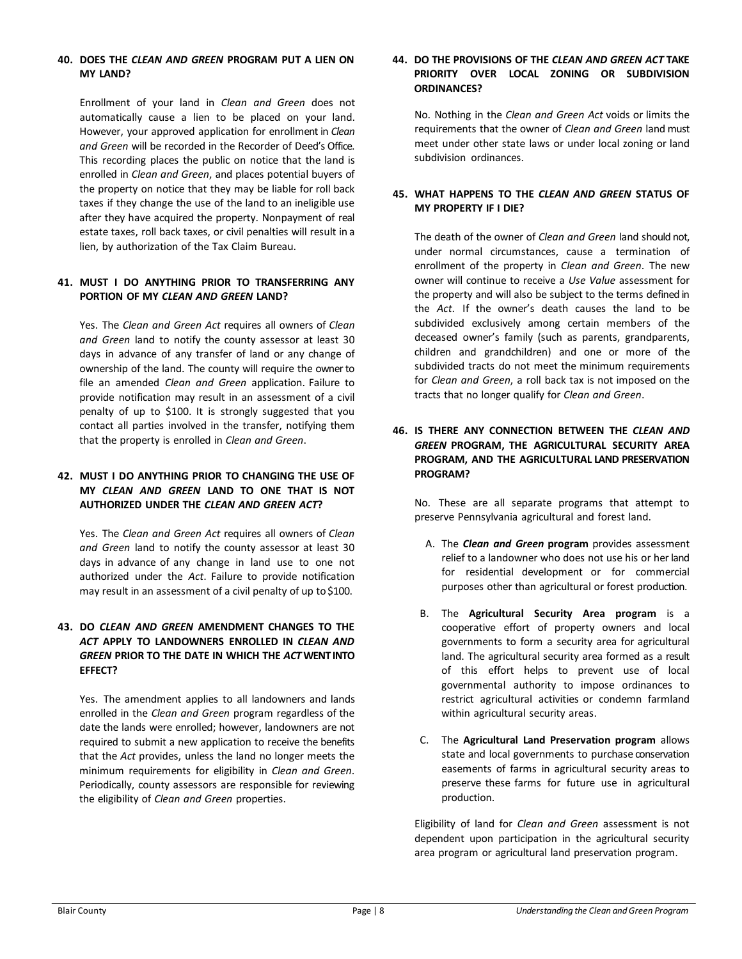#### **40. DOES THE** *CLEAN AND GREEN* **PROGRAM PUT A LIEN ON MY LAND?**

Enrollment of your land in *Clean and Green* does not automatically cause a lien to be placed on your land. However, your approved application for enrollment in *Clean and Green* will be recorded in the Recorder of Deed's Office. This recording places the public on notice that the land is enrolled in *Clean and Green*, and places potential buyers of the property on notice that they may be liable for roll back taxes if they change the use of the land to an ineligible use after they have acquired the property. Nonpayment of real estate taxes, roll back taxes, or civil penalties will result in a lien, by authorization of the Tax Claim Bureau.

#### **41. MUST I DO ANYTHING PRIOR TO TRANSFERRING ANY PORTION OF MY** *CLEAN AND GREEN* **LAND?**

Yes. The *Clean and Green Act* requires all owners of *Clean and Green* land to notify the county assessor at least 30 days in advance of any transfer of land or any change of ownership of the land. The county will require the ownerto file an amended *Clean and Green* application. Failure to provide notification may result in an assessment of a civil penalty of up to \$100. It is strongly suggested that you contact all parties involved in the transfer, notifying them that the property is enrolled in *Clean and Green*.

#### **42. MUST I DO ANYTHING PRIOR TO CHANGING THE USE OF MY** *CLEAN AND GREEN* **LAND TO ONE THAT IS NOT AUTHORIZED UNDER THE** *CLEAN AND GREEN ACT***?**

Yes. The *Clean and Green Act* requires all owners of *Clean and Green* land to notify the county assessor at least 30 days in advance of any change in land use to one not authorized under the *Act*. Failure to provide notification may result in an assessment of a civil penalty of up to \$100.

#### **43. DO** *CLEAN AND GREEN* **AMENDMENT CHANGES TO THE** *ACT* **APPLY TO LANDOWNERS ENROLLED IN** *CLEAN AND GREEN* **PRIOR TO THE DATE IN WHICH THE** *ACT***WENT INTO EFFECT?**

Yes. The amendment applies to all landowners and lands enrolled in the *Clean and Green* program regardless of the date the lands were enrolled; however, landowners are not required to submit a new application to receive the benefits that the *Act* provides, unless the land no longer meets the minimum requirements for eligibility in *Clean and Green*. Periodically, county assessors are responsible for reviewing the eligibility of *Clean and Green* properties.

#### **44. DO THE PROVISIONS OF THE** *CLEAN AND GREEN ACT* **TAKE PRIORITY OVER LOCAL ZONING OR SUBDIVISION ORDINANCES?**

No. Nothing in the *Clean and Green Act* voids or limits the requirements that the owner of *Clean and Green* land must meet under other state laws or under local zoning or land subdivision ordinances.

#### **45. WHAT HAPPENS TO THE** *CLEAN AND GREEN* **STATUS OF MY PROPERTY IF I DIE?**

The death of the owner of *Clean and Green* land should not, under normal circumstances, cause a termination of enrollment of the property in *Clean and Green*. The new owner will continue to receive a *Use Value* assessment for the property and will also be subject to the terms defined in the *Act*. If the owner's death causes the land to be subdivided exclusively among certain members of the deceased owner's family (such as parents, grandparents, children and grandchildren) and one or more of the subdivided tracts do not meet the minimum requirements for *Clean and Green*, a roll back tax is not imposed on the tracts that no longer qualify for *Clean and Green*.

#### **46. IS THERE ANY CONNECTION BETWEEN THE** *CLEAN AND GREEN* **PROGRAM, THE AGRICULTURAL SECURITY AREA PROGRAM, AND THE AGRICULTURAL LAND PRESERVATION PROGRAM?**

No. These are all separate programs that attempt to preserve Pennsylvania agricultural and forest land.

- A. The *Clean and Green* **program** provides assessment relief to a landowner who does not use his or her land for residential development or for commercial purposes other than agricultural or forest production.
- B. The **Agricultural Security Area program** is a cooperative effort of property owners and local governments to form a security area for agricultural land. The agricultural security area formed as a result of this effort helps to prevent use of local governmental authority to impose ordinances to restrict agricultural activities or condemn farmland within agricultural security areas.
- C. The **Agricultural Land Preservation program** allows state and local governments to purchase conservation easements of farms in agricultural security areas to preserve these farms for future use in agricultural production.

Eligibility of land for *Clean and Green* assessment is not dependent upon participation in the agricultural security area program or agricultural land preservation program.